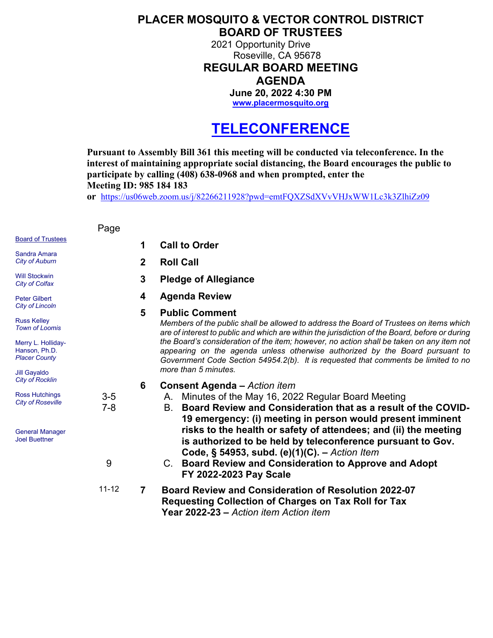## **PLACER MOSQUITO & VECTOR CONTROL DISTRICT BOARD OF TRUSTEES**

2021 Opportunity Drive Roseville, CA 95678 **REGULAR BOARD MEETING AGENDA June 20, 2022 4:30 PM**

**[www.placermosquito.org](http://www.placermosquito.org/)**

## **TELECONFERENCE**

**Pursuant to Assembly Bill 361 this meeting will be conducted via teleconference. In the interest of maintaining appropriate social distancing, the Board encourages the public to participate by calling (408) 638-0968 and when prompted, enter the Meeting ID: 985 184 183**

**or** <https://us06web.zoom.us/j/82266211928?pwd=emtFQXZSdXVvVHJxWW1Lc3k3ZlhiZz09>

Board of Trustees Sandra Amara *City of Auburn* Will Stockwin *City of Colfax* Peter Gilbert *City of Lincoln* Russ Kelley *Town of Loomis* Merry L. Holliday-Hanson, Ph.D. *Placer County* Jill Gayaldo *City of Rocklin* Ross Hutchings *City of Roseville* General Manager Joel Buettner Page **1 Call to Order 2 Roll Call 3 Pledge of Allegiance 4 Agenda Review 5 Public Comment** *Members of the public shall be allowed to address the Board of Trustees on items which are of interest to public and which are within the jurisdiction of the Board, before or during the Board's consideration of the item; however, no action shall be taken on any item not appearing on the agenda unless otherwise authorized by the Board pursuant to Government Code Section 54954.2(b). It is requested that comments be limited to no more than 5 minutes.* **6 Consent Agenda –** *Action item* 3-5 A. Minutes of the May 16, 2022 Regular Board Meeting 7-8 B. **Board Review and Consideration that as a result of the COVID-19 emergency: (i) meeting in person would present imminent risks to the health or safety of attendees; and (ii) the meeting is authorized to be held by teleconference pursuant to Gov. Code, § 54953, subd. (e)(1)(C). –** *Action Item* 9 C. **Board Review and Consideration to Approve and Adopt FY 2022-2023 Pay Scale** 11-12 **7 Board Review and Consideration of Resolution 2022-07 Requesting Collection of Charges on Tax Roll for Tax Year 2022-23 –** *Action item Action item*